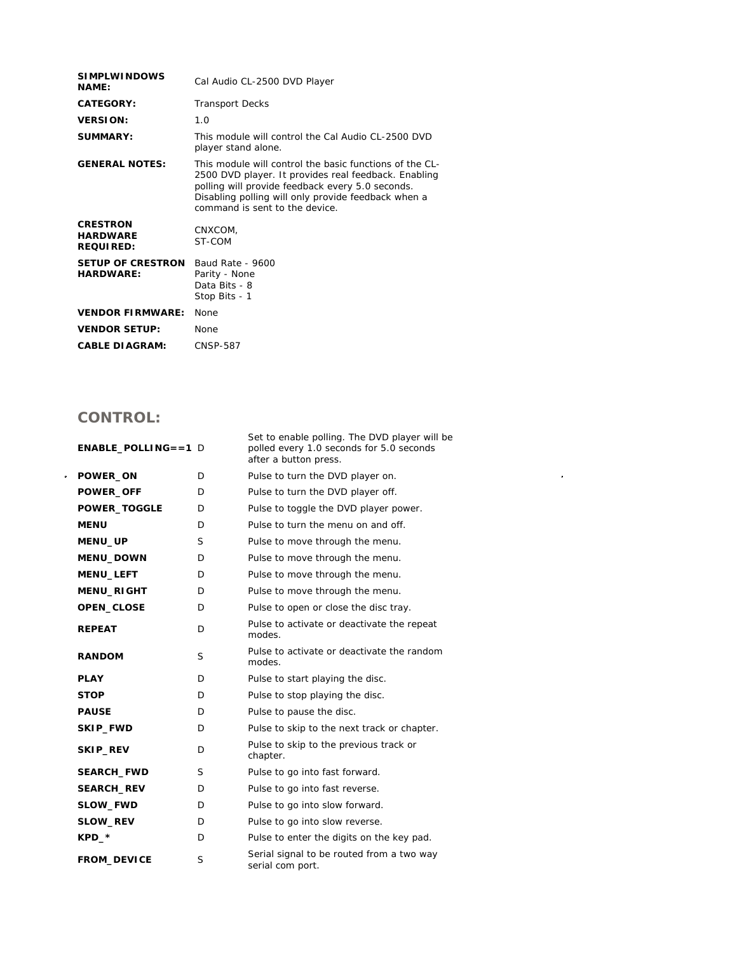| <b>SIMPLWINDOWS</b><br><b>NAME:</b>                    | Cal Audio CL-2500 DVD Player                                                                                                                                                                                                                                 |  |
|--------------------------------------------------------|--------------------------------------------------------------------------------------------------------------------------------------------------------------------------------------------------------------------------------------------------------------|--|
| CATEGORY:                                              | <b>Transport Decks</b>                                                                                                                                                                                                                                       |  |
| <b>VERSION:</b>                                        | 1.0                                                                                                                                                                                                                                                          |  |
| SUMMARY:                                               | This module will control the Cal Audio CL-2500 DVD<br>player stand alone.                                                                                                                                                                                    |  |
| <b>GENERAL NOTES:</b>                                  | This module will control the basic functions of the CL-<br>2500 DVD player. It provides real feedback. Enabling<br>polling will provide feedback every 5.0 seconds.<br>Disabling polling will only provide feedback when a<br>command is sent to the device. |  |
| <b>CRESTRON</b><br><b>HARDWARE</b><br><b>REQUIRED:</b> | CNXCOM,<br>ST-COM                                                                                                                                                                                                                                            |  |
| <b>SETUP OF CRESTRON</b><br><b>HARDWARE:</b>           | Baud Rate - 9600<br>Parity - None<br>Data Bits - 8<br>Stop Bits - 1                                                                                                                                                                                          |  |
| <b>VENDOR FIRMWARE:</b>                                | <b>None</b>                                                                                                                                                                                                                                                  |  |
| <b>VENDOR SETUP:</b>                                   | None                                                                                                                                                                                                                                                         |  |
| <b>CABLE DIAGRAM:</b>                                  | <b>CNSP-587</b>                                                                                                                                                                                                                                              |  |

## **CONTROL:**

|                | $ENABLE$ POLLING==1 D |    | Set to enable polling. The DVD player will be<br>polled every 1.0 seconds for 5.0 seconds<br>after a button press. |
|----------------|-----------------------|----|--------------------------------------------------------------------------------------------------------------------|
| $\blacksquare$ | POWER_ON              | D. | Pulse to turn the DVD player on.                                                                                   |
|                | <b>POWER_OFF</b>      | D  | Pulse to turn the DVD player off.                                                                                  |
|                | <b>POWER_TOGGLE</b>   | D  | Pulse to toggle the DVD player power.                                                                              |
|                | <b>MENU</b>           | D  | Pulse to turn the menu on and off.                                                                                 |
|                | <b>MENU_UP</b>        | S  | Pulse to move through the menu.                                                                                    |
|                | MENU_DOWN             | D. | Pulse to move through the menu.                                                                                    |
|                | MENU_LEFT             | D  | Pulse to move through the menu.                                                                                    |
|                | MENU_RIGHT            | D. | Pulse to move through the menu.                                                                                    |
|                | OPEN_CLOSE            | D. | Pulse to open or close the disc tray.                                                                              |
|                | <b>REPEAT</b>         | D  | Pulse to activate or deactivate the repeat<br>modes.                                                               |
|                | <b>RANDOM</b>         | S  | Pulse to activate or deactivate the random<br>modes.                                                               |
|                | <b>PLAY</b>           | D  | Pulse to start playing the disc.                                                                                   |
|                | <b>STOP</b>           | D. | Pulse to stop playing the disc.                                                                                    |
|                | <b>PAUSE</b>          | D. | Pulse to pause the disc.                                                                                           |
|                | SKIP_FWD              | D  | Pulse to skip to the next track or chapter.                                                                        |
|                | SKIP_REV              | D  | Pulse to skip to the previous track or<br>chapter.                                                                 |
|                | <b>SEARCH_FWD</b>     | S  | Pulse to go into fast forward.                                                                                     |
|                | <b>SEARCH_REV</b>     | D  | Pulse to go into fast reverse.                                                                                     |
|                | SLOW_FWD              | D  | Pulse to go into slow forward.                                                                                     |
|                | SLOW_REV              | D  | Pulse to go into slow reverse.                                                                                     |
|                | $KPD-*$               | D  | Pulse to enter the digits on the key pad.                                                                          |
|                | <b>FROM_DEVICE</b>    | S  | Serial signal to be routed from a two way<br>serial com port.                                                      |

 $\mathcal{L}^{\text{max}}_{\text{max}}$  , where  $\mathcal{L}^{\text{max}}_{\text{max}}$